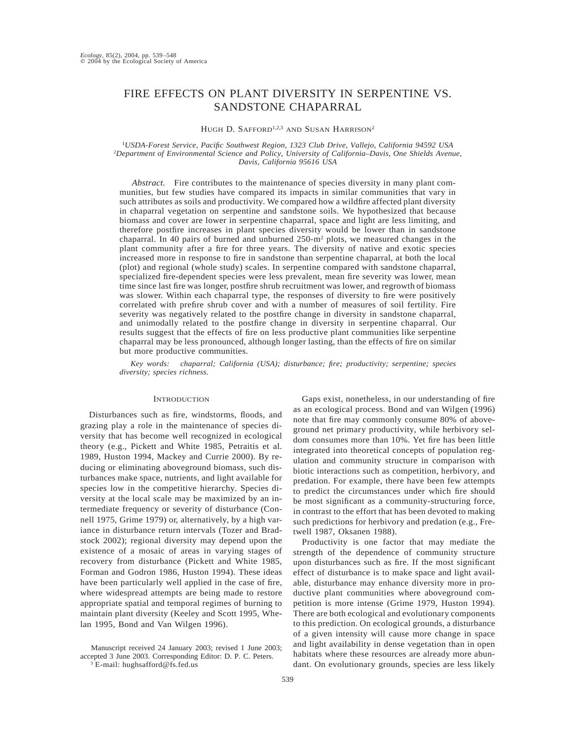# FIRE EFFECTS ON PLANT DIVERSITY IN SERPENTINE VS. SANDSTONE CHAPARRAL

# HUGH D. SAFFORD<sup>1,2,3</sup> AND SUSAN HARRISON<sup>2</sup>

#### <sup>1</sup>*USDA-Forest Service, Pacific Southwest Region, 1323 Club Drive, Vallejo, California 94592 USA* <sup>2</sup>*Department of Environmental Science and Policy, University of California–Davis, One Shields Avenue, Davis, California 95616 USA*

*Abstract.* Fire contributes to the maintenance of species diversity in many plant communities, but few studies have compared its impacts in similar communities that vary in such attributes as soils and productivity. We compared how a wildfire affected plant diversity in chaparral vegetation on serpentine and sandstone soils. We hypothesized that because biomass and cover are lower in serpentine chaparral, space and light are less limiting, and therefore postfire increases in plant species diversity would be lower than in sandstone chaparral. In 40 pairs of burned and unburned  $250 \text{--} m^2$  plots, we measured changes in the plant community after a fire for three years. The diversity of native and exotic species increased more in response to fire in sandstone than serpentine chaparral, at both the local (plot) and regional (whole study) scales. In serpentine compared with sandstone chaparral, specialized fire-dependent species were less prevalent, mean fire severity was lower, mean time since last fire was longer, postfire shrub recruitment was lower, and regrowth of biomass was slower. Within each chaparral type, the responses of diversity to fire were positively correlated with prefire shrub cover and with a number of measures of soil fertility. Fire severity was negatively related to the postfire change in diversity in sandstone chaparral, and unimodally related to the postfire change in diversity in serpentine chaparral. Our results suggest that the effects of fire on less productive plant communities like serpentine chaparral may be less pronounced, although longer lasting, than the effects of fire on similar but more productive communities.

*Key words: chaparral; California (USA); disturbance; fire; productivity; serpentine; species diversity; species richness.*

## **INTRODUCTION**

Disturbances such as fire, windstorms, floods, and grazing play a role in the maintenance of species diversity that has become well recognized in ecological theory (e.g., Pickett and White 1985, Petraitis et al. 1989, Huston 1994, Mackey and Currie 2000). By reducing or eliminating aboveground biomass, such disturbances make space, nutrients, and light available for species low in the competitive hierarchy. Species diversity at the local scale may be maximized by an intermediate frequency or severity of disturbance (Connell 1975, Grime 1979) or, alternatively, by a high variance in disturbance return intervals (Tozer and Bradstock 2002); regional diversity may depend upon the existence of a mosaic of areas in varying stages of recovery from disturbance (Pickett and White 1985, Forman and Godron 1986, Huston 1994). These ideas have been particularly well applied in the case of fire, where widespread attempts are being made to restore appropriate spatial and temporal regimes of burning to maintain plant diversity (Keeley and Scott 1995, Whelan 1995, Bond and Van Wilgen 1996).

<sup>3</sup> E-mail: hughsafford@fs.fed.us

Gaps exist, nonetheless, in our understanding of fire as an ecological process. Bond and van Wilgen (1996) note that fire may commonly consume 80% of aboveground net primary productivity, while herbivory seldom consumes more than 10%. Yet fire has been little integrated into theoretical concepts of population regulation and community structure in comparison with biotic interactions such as competition, herbivory, and predation. For example, there have been few attempts to predict the circumstances under which fire should be most significant as a community-structuring force, in contrast to the effort that has been devoted to making such predictions for herbivory and predation (e.g., Fretwell 1987, Oksanen 1988).

Productivity is one factor that may mediate the strength of the dependence of community structure upon disturbances such as fire. If the most significant effect of disturbance is to make space and light available, disturbance may enhance diversity more in productive plant communities where aboveground competition is more intense (Grime 1979, Huston 1994). There are both ecological and evolutionary components to this prediction. On ecological grounds, a disturbance of a given intensity will cause more change in space and light availability in dense vegetation than in open habitats where these resources are already more abundant. On evolutionary grounds, species are less likely

Manuscript received 24 January 2003; revised 1 June 2003; accepted 3 June 2003. Corresponding Editor: D. P. C. Peters.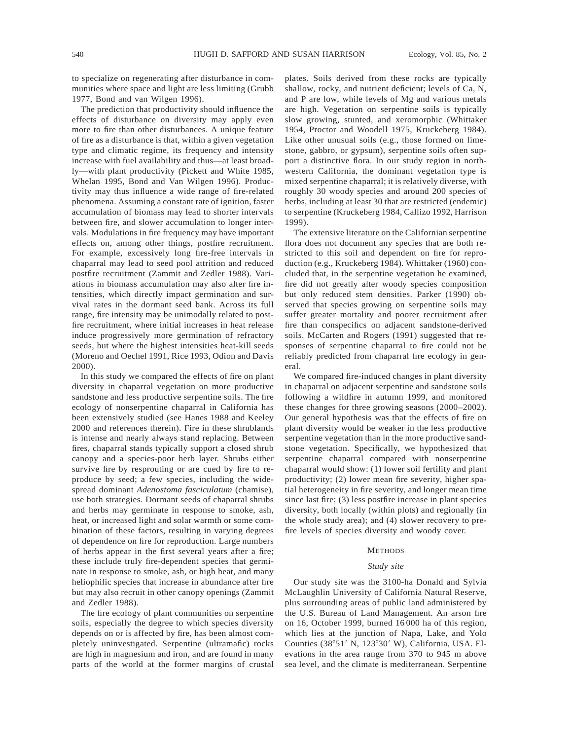to specialize on regenerating after disturbance in communities where space and light are less limiting (Grubb 1977, Bond and van Wilgen 1996).

The prediction that productivity should influence the effects of disturbance on diversity may apply even more to fire than other disturbances. A unique feature of fire as a disturbance is that, within a given vegetation type and climatic regime, its frequency and intensity increase with fuel availability and thus—at least broadly—with plant productivity (Pickett and White 1985, Whelan 1995, Bond and Van Wilgen 1996). Productivity may thus influence a wide range of fire-related phenomena. Assuming a constant rate of ignition, faster accumulation of biomass may lead to shorter intervals between fire, and slower accumulation to longer intervals. Modulations in fire frequency may have important effects on, among other things, postfire recruitment. For example, excessively long fire-free intervals in chaparral may lead to seed pool attrition and reduced postfire recruitment (Zammit and Zedler 1988). Variations in biomass accumulation may also alter fire intensities, which directly impact germination and survival rates in the dormant seed bank. Across its full range, fire intensity may be unimodally related to postfire recruitment, where initial increases in heat release induce progressively more germination of refractory seeds, but where the highest intensities heat-kill seeds (Moreno and Oechel 1991, Rice 1993, Odion and Davis 2000).

In this study we compared the effects of fire on plant diversity in chaparral vegetation on more productive sandstone and less productive serpentine soils. The fire ecology of nonserpentine chaparral in California has been extensively studied (see Hanes 1988 and Keeley 2000 and references therein). Fire in these shrublands is intense and nearly always stand replacing. Between fires, chaparral stands typically support a closed shrub canopy and a species-poor herb layer. Shrubs either survive fire by resprouting or are cued by fire to reproduce by seed; a few species, including the widespread dominant *Adenostoma fasciculatum* (chamise), use both strategies. Dormant seeds of chaparral shrubs and herbs may germinate in response to smoke, ash, heat, or increased light and solar warmth or some combination of these factors, resulting in varying degrees of dependence on fire for reproduction. Large numbers of herbs appear in the first several years after a fire; these include truly fire-dependent species that germinate in response to smoke, ash, or high heat, and many heliophilic species that increase in abundance after fire but may also recruit in other canopy openings (Zammit and Zedler 1988).

The fire ecology of plant communities on serpentine soils, especially the degree to which species diversity depends on or is affected by fire, has been almost completely uninvestigated. Serpentine (ultramafic) rocks are high in magnesium and iron, and are found in many parts of the world at the former margins of crustal

plates. Soils derived from these rocks are typically shallow, rocky, and nutrient deficient; levels of Ca, N, and P are low, while levels of Mg and various metals are high. Vegetation on serpentine soils is typically slow growing, stunted, and xeromorphic (Whittaker 1954, Proctor and Woodell 1975, Kruckeberg 1984). Like other unusual soils (e.g., those formed on limestone, gabbro, or gypsum), serpentine soils often support a distinctive flora. In our study region in northwestern California, the dominant vegetation type is mixed serpentine chaparral; it is relatively diverse, with roughly 30 woody species and around 200 species of herbs, including at least 30 that are restricted (endemic) to serpentine (Kruckeberg 1984, Callizo 1992, Harrison 1999).

The extensive literature on the Californian serpentine flora does not document any species that are both restricted to this soil and dependent on fire for reproduction (e.g., Kruckeberg 1984). Whittaker (1960) concluded that, in the serpentine vegetation he examined, fire did not greatly alter woody species composition but only reduced stem densities. Parker (1990) observed that species growing on serpentine soils may suffer greater mortality and poorer recruitment after fire than conspecifics on adjacent sandstone-derived soils. McCarten and Rogers (1991) suggested that responses of serpentine chaparral to fire could not be reliably predicted from chaparral fire ecology in general.

We compared fire-induced changes in plant diversity in chaparral on adjacent serpentine and sandstone soils following a wildfire in autumn 1999, and monitored these changes for three growing seasons (2000–2002). Our general hypothesis was that the effects of fire on plant diversity would be weaker in the less productive serpentine vegetation than in the more productive sandstone vegetation. Specifically, we hypothesized that serpentine chaparral compared with nonserpentine chaparral would show: (1) lower soil fertility and plant productivity; (2) lower mean fire severity, higher spatial heterogeneity in fire severity, and longer mean time since last fire; (3) less postfire increase in plant species diversity, both locally (within plots) and regionally (in the whole study area); and (4) slower recovery to prefire levels of species diversity and woody cover.

## **METHODS**

#### *Study site*

Our study site was the 3100-ha Donald and Sylvia McLaughlin University of California Natural Reserve, plus surrounding areas of public land administered by the U.S. Bureau of Land Management. An arson fire on 16, October 1999, burned 16 000 ha of this region, which lies at the junction of Napa, Lake, and Yolo Counties (38°51' N, 123°30' W), California, USA. Elevations in the area range from 370 to 945 m above sea level, and the climate is mediterranean. Serpentine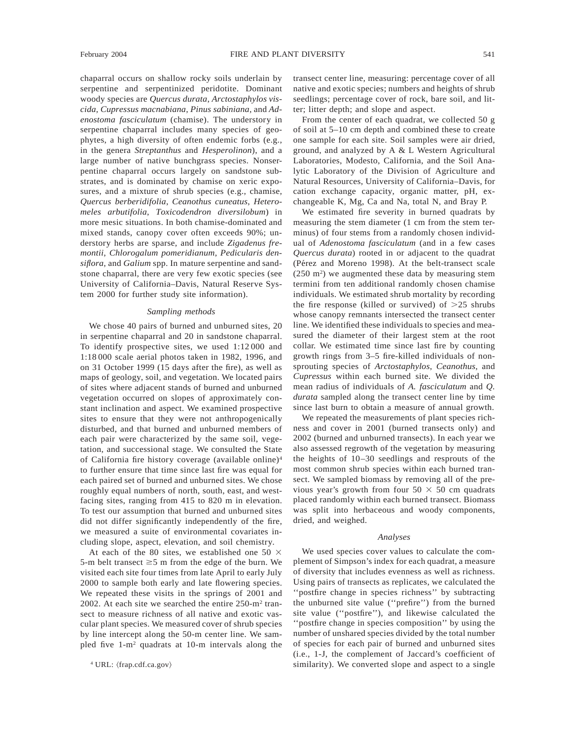chaparral occurs on shallow rocky soils underlain by serpentine and serpentinized peridotite. Dominant woody species are *Quercus durata*, *Arctostaphylos viscida*, *Cupressus macnabiana*, *Pinus sabiniana*, and *Adenostoma fasciculatum* (chamise). The understory in serpentine chaparral includes many species of geophytes, a high diversity of often endemic forbs (e.g., in the genera *Streptanthus* and *Hesperolinon*), and a large number of native bunchgrass species. Nonserpentine chaparral occurs largely on sandstone substrates, and is dominated by chamise on xeric exposures, and a mixture of shrub species (e.g., chamise, *Quercus berberidifolia*, *Ceanothus cuneatus*, *Heteromeles arbutifolia*, *Toxicodendron diversilobum*) in more mesic situations. In both chamise-dominated and mixed stands, canopy cover often exceeds 90%; understory herbs are sparse, and include *Zigadenus fremontii*, *Chlorogalum pomeridianum*, *Pedicularis densiflora*, and *Galium* spp. In mature serpentine and sandstone chaparral, there are very few exotic species (see University of California–Davis, Natural Reserve System 2000 for further study site information).

## *Sampling methods*

We chose 40 pairs of burned and unburned sites, 20 in serpentine chaparral and 20 in sandstone chaparral. To identify prospective sites, we used 1:12 000 and 1:18 000 scale aerial photos taken in 1982, 1996, and on 31 October 1999 (15 days after the fire), as well as maps of geology, soil, and vegetation. We located pairs of sites where adjacent stands of burned and unburned vegetation occurred on slopes of approximately constant inclination and aspect. We examined prospective sites to ensure that they were not anthropogenically disturbed, and that burned and unburned members of each pair were characterized by the same soil, vegetation, and successional stage. We consulted the State of California fire history coverage (available online)4 to further ensure that time since last fire was equal for each paired set of burned and unburned sites. We chose roughly equal numbers of north, south, east, and westfacing sites, ranging from 415 to 820 m in elevation. To test our assumption that burned and unburned sites did not differ significantly independently of the fire, we measured a suite of environmental covariates including slope, aspect, elevation, and soil chemistry.

At each of the 80 sites, we established one 50  $\times$ 5-m belt transect  $\geq$ 5 m from the edge of the burn. We visited each site four times from late April to early July 2000 to sample both early and late flowering species. We repeated these visits in the springs of 2001 and 2002. At each site we searched the entire 250-m2 transect to measure richness of all native and exotic vascular plant species. We measured cover of shrub species by line intercept along the 50-m center line. We sampled five 1-m2 quadrats at 10-m intervals along the

 $4$  URL:  $\langle$ frap.cdf.ca.gov $\rangle$ 

transect center line, measuring: percentage cover of all native and exotic species; numbers and heights of shrub seedlings; percentage cover of rock, bare soil, and litter; litter depth; and slope and aspect.

From the center of each quadrat, we collected 50 g of soil at 5–10 cm depth and combined these to create one sample for each site. Soil samples were air dried, ground, and analyzed by  $A \& L$  Western Agricultural Laboratories, Modesto, California, and the Soil Analytic Laboratory of the Division of Agriculture and Natural Resources, University of California–Davis, for cation exchange capacity, organic matter, pH, exchangeable K, Mg, Ca and Na, total N, and Bray P.

We estimated fire severity in burned quadrats by measuring the stem diameter (1 cm from the stem terminus) of four stems from a randomly chosen individual of *Adenostoma fasciculatum* (and in a few cases *Quercus durata*) rooted in or adjacent to the quadrat (Pérez and Moreno 1998). At the belt-transect scale  $(250 \text{ m}^2)$  we augmented these data by measuring stem termini from ten additional randomly chosen chamise individuals. We estimated shrub mortality by recording the fire response (killed or survived) of  $>25$  shrubs whose canopy remnants intersected the transect center line. We identified these individuals to species and measured the diameter of their largest stem at the root collar. We estimated time since last fire by counting growth rings from 3–5 fire-killed individuals of nonsprouting species of *Arctostaphylos*, *Ceanothus*, and *Cupressus* within each burned site. We divided the mean radius of individuals of *A. fasciculatum* and *Q. durata* sampled along the transect center line by time since last burn to obtain a measure of annual growth.

We repeated the measurements of plant species richness and cover in 2001 (burned transects only) and 2002 (burned and unburned transects). In each year we also assessed regrowth of the vegetation by measuring the heights of 10–30 seedlings and resprouts of the most common shrub species within each burned transect. We sampled biomass by removing all of the previous year's growth from four  $50 \times 50$  cm quadrats placed randomly within each burned transect. Biomass was split into herbaceous and woody components, dried, and weighed.

#### *Analyses*

We used species cover values to calculate the complement of Simpson's index for each quadrat, a measure of diversity that includes evenness as well as richness. Using pairs of transects as replicates, we calculated the ''postfire change in species richness'' by subtracting the unburned site value (''prefire'') from the burned site value (''postfire''), and likewise calculated the ''postfire change in species composition'' by using the number of unshared species divided by the total number of species for each pair of burned and unburned sites (i.e., 1-J, the complement of Jaccard's coefficient of similarity). We converted slope and aspect to a single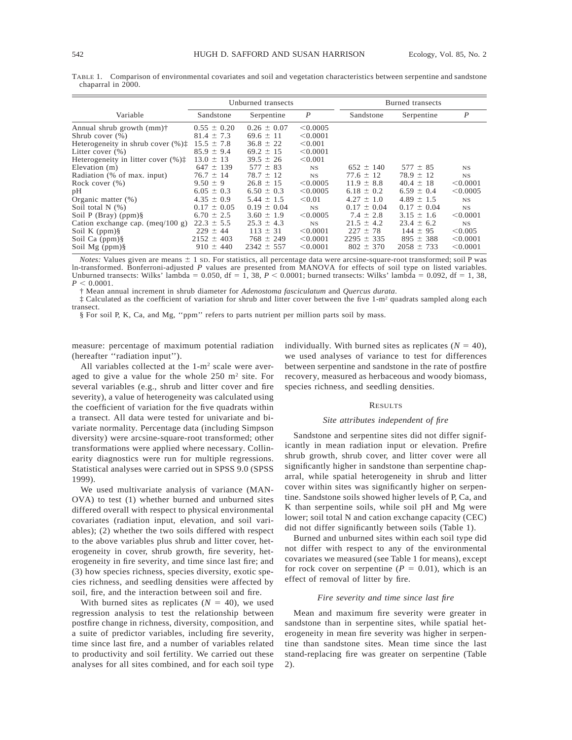|                                                            | Unburned transects |                 |           | Burned transects |                 |           |  |
|------------------------------------------------------------|--------------------|-----------------|-----------|------------------|-----------------|-----------|--|
| Variable                                                   | Sandstone          | Serpentine      | P         | Sandstone        | Serpentine      | P         |  |
| Annual shrub growth $(mm)$ <sup><math>\dagger</math></sup> | $0.55 \pm 0.20$    | $0.26 \pm 0.07$ | < 0.0005  |                  |                 |           |  |
| Shrub cover $(\%)$                                         | $81.4 \pm 7.3$     | $69.6 \pm 11$   | < 0.0001  |                  |                 |           |  |
| Heterogeneity in shrub cover $(\%)$ :                      | $15.5 \pm 7.8$     | $36.8 \pm 22$   | < 0.001   |                  |                 |           |  |
| Litter cover $(% )$                                        | $85.9 \pm 9.4$     | $69.2 \pm 15$   | < 0.0001  |                  |                 |           |  |
| Heterogeneity in litter cover $(\%)\uparrow$               | $13.0 \pm 13$      | $39.5 \pm 26$   | < 0.001   |                  |                 |           |  |
| Elevation $(m)$                                            | $647 \pm 139$      | $577 \pm 83$    | <b>NS</b> | $652 \pm 140$    | $577 \pm 85$    | <b>NS</b> |  |
| Radiation (% of max. input)                                | $76.7 \pm 14$      | $78.7 \pm 12$   | <b>NS</b> | $77.6 \pm 12$    | $78.9 \pm 12$   | NS.       |  |
| Rock cover $(\%)$                                          | $9.50 \pm 9$       | $26.8 \pm 15$   | < 0.0005  | $11.9 \pm 8.8$   | $40.4 \pm 18$   | < 0.0001  |  |
| pH                                                         | $6.05 \pm 0.3$     | $6.50 \pm 0.3$  | < 0.0005  | $6.18 \pm 0.2$   | $6.59 \pm 0.4$  | < 0.0005  |  |
| Organic matter $(\%)$                                      | $4.35 \pm 0.9$     | $5.44 \pm 1.5$  | < 0.01    | $4.27 \pm 1.0$   | $4.89 \pm 1.5$  | <b>NS</b> |  |
| Soil total $N$ $(\%)$                                      | $0.17 \pm 0.05$    | $0.19 \pm 0.04$ | <b>NS</b> | $0.17 \pm 0.04$  | $0.17 \pm 0.04$ | NS.       |  |
| Soil P (Bray) ( $ppm$ )§                                   | $6.70 \pm 2.5$     | $3.60 \pm 1.9$  | < 0.0005  | $7.4 \pm 2.8$    | $3.15 \pm 1.6$  | < 0.0001  |  |
| Cation exchange cap. (meq/100 g)                           | $22.3 \pm 5.5$     | $25.3 \pm 4.3$  | <b>NS</b> | $21.5 \pm 4.2$   | $23.4 \pm 6.2$  | NS.       |  |
| Soil K $(ppm)\$                                            | $229 \pm 44$       | $113 \pm 31$    | < 0.0001  | $227 \pm 78$     | $144 \pm 95$    | < 0.005   |  |

TABLE 1. Comparison of environmental covariates and soil and vegetation characteristics between serpentine and sandstone chaparral in 2000.

*Notes:* Values given are means  $\pm$  1 sp. For statistics, all percentage data were arcsine-square-root transformed; soil P was ln-transformed. Bonferroni-adjusted *P* values are presented from MANOVA for effects of soil type on listed variables. Unburned transects: Wilks' lambda =  $0.050$ , df =  $\hat{1}$ , 38, *P* <  $0.0001$ ; burned transects: Wilks' lambda =  $0.092$ , df = 1, 38,  $P < 0.0001$ .

 $< 0.0001$  $< 0.0001$ 

 $768 \pm 249$  $2342 \pm 557$ 

† Mean annual increment in shrub diameter for *Adenostoma fasciculatum* and *Quercus durata*.

‡ Calculated as the coefficient of variation for shrub and litter cover between the five 1-m2 quadrats sampled along each transect.

§ For soil P, K, Ca, and Mg, ''ppm'' refers to parts nutrient per million parts soil by mass.

 $2152 \pm 403$  $910 \pm 440$ 

measure: percentage of maximum potential radiation (hereafter ''radiation input'').

All variables collected at the 1-m2 scale were averaged to give a value for the whole  $250 \text{ m}^2$  site. For several variables (e.g., shrub and litter cover and fire severity), a value of heterogeneity was calculated using the coefficient of variation for the five quadrats within a transect. All data were tested for univariate and bivariate normality. Percentage data (including Simpson diversity) were arcsine-square-root transformed; other transformations were applied where necessary. Collinearity diagnostics were run for multiple regressions. Statistical analyses were carried out in SPSS 9.0 (SPSS 1999).

We used multivariate analysis of variance (MAN-OVA) to test (1) whether burned and unburned sites differed overall with respect to physical environmental covariates (radiation input, elevation, and soil variables); (2) whether the two soils differed with respect to the above variables plus shrub and litter cover, heterogeneity in cover, shrub growth, fire severity, heterogeneity in fire severity, and time since last fire; and (3) how species richness, species diversity, exotic species richness, and seedling densities were affected by soil, fire, and the interaction between soil and fire.

With burned sites as replicates  $(N = 40)$ , we used regression analysis to test the relationship between postfire change in richness, diversity, composition, and a suite of predictor variables, including fire severity, time since last fire, and a number of variables related to productivity and soil fertility. We carried out these analyses for all sites combined, and for each soil type individually. With burned sites as replicates  $(N = 40)$ , we used analyses of variance to test for differences between serpentine and sandstone in the rate of postfire recovery, measured as herbaceous and woody biomass, species richness, and seedling densities.

 $2295 \pm 335$  $802 \pm 370$ 

 $895 \pm 388$  $2058 \pm 733$   $< 0.0001$  $< 0.0001$ 

# **RESULTS**

## *Site attributes independent of fire*

Sandstone and serpentine sites did not differ significantly in mean radiation input or elevation. Prefire shrub growth, shrub cover, and litter cover were all significantly higher in sandstone than serpentine chaparral, while spatial heterogeneity in shrub and litter cover within sites was significantly higher on serpentine. Sandstone soils showed higher levels of P, Ca, and K than serpentine soils, while soil pH and Mg were lower; soil total N and cation exchange capacity (CEC) did not differ significantly between soils (Table 1).

Burned and unburned sites within each soil type did not differ with respect to any of the environmental covariates we measured (see Table 1 for means), except for rock cover on serpentine  $(P = 0.01)$ , which is an effect of removal of litter by fire.

#### *Fire severity and time since last fire*

Mean and maximum fire severity were greater in sandstone than in serpentine sites, while spatial heterogeneity in mean fire severity was higher in serpentine than sandstone sites. Mean time since the last stand-replacing fire was greater on serpentine (Table 2).

Soil Ca (ppm)§ Soil Mg (ppm)§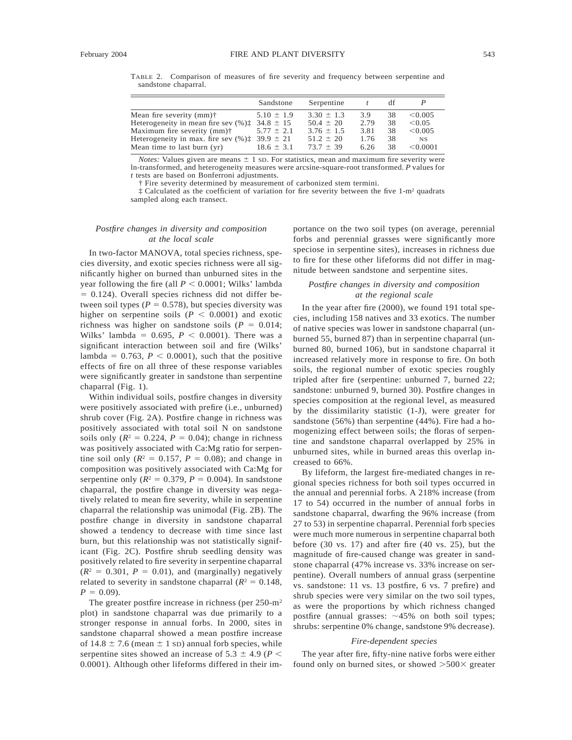TABLE 2. Comparison of measures of fire severity and frequency between serpentine and sandstone chaparral.

|                                                                 | Sandstone      | Serpentine     |      |    |           |
|-----------------------------------------------------------------|----------------|----------------|------|----|-----------|
| Mean fire severity (mm) <sup>†</sup>                            | $5.10 \pm 1.9$ | $3.30 \pm 1.3$ | 3.9  | 38 | < 0.005   |
| Heterogeneity in mean fire sev $(\% )\ddagger$ 34.8 $\pm$ 15    |                | $50.4 \pm 20$  | 2.79 | 38 | < 0.05    |
| Maximum fire severity (mm)†                                     | $5.77 \pm 2.1$ | $3.76 \pm 1.5$ | 3.81 | 38 | < 0.005   |
| Heterogeneity in max. fire sev $(\% )$ $\ddagger$ 39.9 $\pm$ 21 |                | $51.2 \pm 20$  | 1.76 | 38 | <b>NS</b> |
| Mean time to last burn (yr)                                     | $18.6 \pm 3.1$ | $73.7 \pm 39$  | 6.26 | 38 | < 0.0001  |

*Notes:* Values given are means  $\pm$  1 sp. For statistics, mean and maximum fire severity were ln-transformed, and heterogeneity measures were arcsine-square-root transformed. *P* values for *t* tests are based on Bonferroni adjustments.

† Fire severity determined by measurement of carbonized stem termini.

 $\ddagger$  Calculated as the coefficient of variation for fire severity between the five 1-m<sup>2</sup> quadrats sampled along each transect.

# *Postfire changes in diversity and composition at the local scale*

In two-factor MANOVA, total species richness, species diversity, and exotic species richness were all significantly higher on burned than unburned sites in the year following the fire (all  $P < 0.0001$ ; Wilks' lambda  $= 0.124$ ). Overall species richness did not differ between soil types ( $P = 0.578$ ), but species diversity was higher on serpentine soils  $(P < 0.0001)$  and exotic richness was higher on sandstone soils  $(P = 0.014)$ ; Wilks' lambda =  $0.695$ ,  $P < 0.0001$ ). There was a significant interaction between soil and fire (Wilks' lambda =  $0.763$ ,  $P < 0.0001$ ), such that the positive effects of fire on all three of these response variables were significantly greater in sandstone than serpentine chaparral (Fig. 1).

Within individual soils, postfire changes in diversity were positively associated with prefire (i.e., unburned) shrub cover (Fig. 2A). Postfire change in richness was positively associated with total soil N on sandstone soils only  $(R^2 = 0.224, P = 0.04)$ ; change in richness was positively associated with Ca:Mg ratio for serpentine soil only ( $R^2 = 0.157$ ,  $P = 0.08$ ); and change in composition was positively associated with Ca:Mg for serpentine only ( $R^2 = 0.379$ ,  $P = 0.004$ ). In sandstone chaparral, the postfire change in diversity was negatively related to mean fire severity, while in serpentine chaparral the relationship was unimodal (Fig. 2B). The postfire change in diversity in sandstone chaparral showed a tendency to decrease with time since last burn, but this relationship was not statistically significant (Fig. 2C). Postfire shrub seedling density was positively related to fire severity in serpentine chaparral  $(R^2 = 0.301, P = 0.01)$ , and (marginally) negatively related to severity in sandstone chaparral  $(R^2 = 0.148,$  $P = 0.09$ .

The greater postfire increase in richness (per 250-m<sup>2</sup> plot) in sandstone chaparral was due primarily to a stronger response in annual forbs. In 2000, sites in sandstone chaparral showed a mean postfire increase of  $14.8 \pm 7.6$  (mean  $\pm 1$  sp) annual forb species, while serpentine sites showed an increase of 5.3  $\pm$  4.9 (*P* < 0.0001). Although other lifeforms differed in their im-

portance on the two soil types (on average, perennial forbs and perennial grasses were significantly more speciose in serpentine sites), increases in richness due to fire for these other lifeforms did not differ in magnitude between sandstone and serpentine sites.

# *Postfire changes in diversity and composition at the regional scale*

In the year after fire (2000), we found 191 total species, including 158 natives and 33 exotics. The number of native species was lower in sandstone chaparral (unburned 55, burned 87) than in serpentine chaparral (unburned 80, burned 106), but in sandstone chaparral it increased relatively more in response to fire. On both soils, the regional number of exotic species roughly tripled after fire (serpentine: unburned 7, burned 22; sandstone: unburned 9, burned 30). Postfire changes in species composition at the regional level, as measured by the dissimilarity statistic (1-J), were greater for sandstone (56%) than serpentine (44%). Fire had a homogenizing effect between soils; the floras of serpentine and sandstone chaparral overlapped by 25% in unburned sites, while in burned areas this overlap increased to 66%.

By lifeform, the largest fire-mediated changes in regional species richness for both soil types occurred in the annual and perennial forbs. A 218% increase (from 17 to 54) occurred in the number of annual forbs in sandstone chaparral, dwarfing the 96% increase (from 27 to 53) in serpentine chaparral. Perennial forb species were much more numerous in serpentine chaparral both before (30 vs. 17) and after fire (40 vs. 25), but the magnitude of fire-caused change was greater in sandstone chaparral (47% increase vs. 33% increase on serpentine). Overall numbers of annual grass (serpentine vs. sandstone: 11 vs. 13 postfire, 6 vs. 7 prefire) and shrub species were very similar on the two soil types, as were the proportions by which richness changed postfire (annual grasses:  $\sim$ 45% on both soil types; shrubs: serpentine 0% change, sandstone 9% decrease).

## *Fire-dependent species*

The year after fire, fifty-nine native forbs were either found only on burned sites, or showed  $>500\times$  greater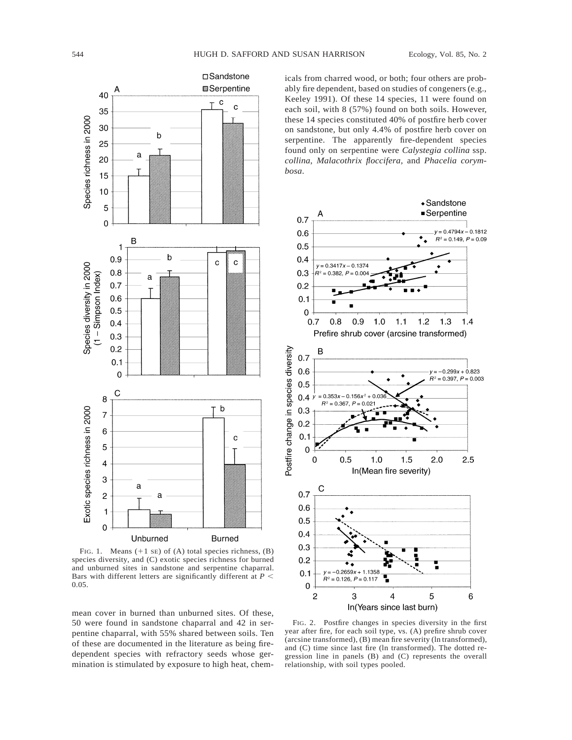

FIG. 1. Means  $(+1 \text{ SE})$  of  $(A)$  total species richness,  $(B)$ species diversity, and (C) exotic species richness for burned and unburned sites in sandstone and serpentine chaparral. Bars with different letters are significantly different at  $P \leq$ 0.05.

mean cover in burned than unburned sites. Of these, 50 were found in sandstone chaparral and 42 in serpentine chaparral, with 55% shared between soils. Ten of these are documented in the literature as being firedependent species with refractory seeds whose germination is stimulated by exposure to high heat, chemicals from charred wood, or both; four others are probably fire dependent, based on studies of congeners (e.g., Keeley 1991). Of these 14 species, 11 were found on each soil, with 8 (57%) found on both soils. However, these 14 species constituted 40% of postfire herb cover on sandstone, but only 4.4% of postfire herb cover on serpentine. The apparently fire-dependent species found only on serpentine were *Calystegia collina* ssp. *collina*, *Malacothrix floccifera*, and *Phacelia corymbosa*.



FIG. 2. Postfire changes in species diversity in the first year after fire, for each soil type, vs. (A) prefire shrub cover (arcsine transformed), (B) mean fire severity (ln transformed), and (C) time since last fire (ln transformed). The dotted regression line in panels (B) and (C) represents the overall relationship, with soil types pooled.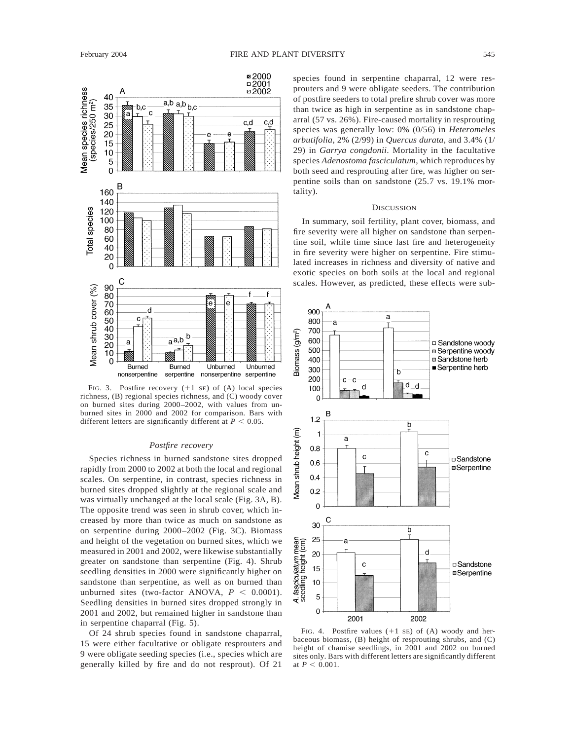

FIG. 3. Postfire recovery  $(+1 \text{ SE})$  of  $(A)$  local species richness, (B) regional species richness, and (C) woody cover on burned sites during 2000–2002, with values from unburned sites in 2000 and 2002 for comparison. Bars with different letters are significantly different at  $P < 0.05$ .

#### *Postfire recovery*

Species richness in burned sandstone sites dropped rapidly from 2000 to 2002 at both the local and regional scales. On serpentine, in contrast, species richness in burned sites dropped slightly at the regional scale and was virtually unchanged at the local scale (Fig. 3A, B). The opposite trend was seen in shrub cover, which increased by more than twice as much on sandstone as on serpentine during 2000–2002 (Fig. 3C). Biomass and height of the vegetation on burned sites, which we measured in 2001 and 2002, were likewise substantially greater on sandstone than serpentine (Fig. 4). Shrub seedling densities in 2000 were significantly higher on sandstone than serpentine, as well as on burned than unburned sites (two-factor ANOVA,  $P < 0.0001$ ). Seedling densities in burned sites dropped strongly in 2001 and 2002, but remained higher in sandstone than in serpentine chaparral (Fig. 5).

Of 24 shrub species found in sandstone chaparral, 15 were either facultative or obligate resprouters and 9 were obligate seeding species (i.e., species which are generally killed by fire and do not resprout). Of 21

species found in serpentine chaparral, 12 were resprouters and 9 were obligate seeders. The contribution of postfire seeders to total prefire shrub cover was more than twice as high in serpentine as in sandstone chaparral (57 vs. 26%). Fire-caused mortality in resprouting species was generally low: 0% (0/56) in *Heteromeles arbutifolia*, 2% (2/99) in *Quercus durata*, and 3.4% (1/ 29) in *Garrya congdonii*. Mortality in the facultative species *Adenostoma fasciculatum*, which reproduces by both seed and resprouting after fire, was higher on serpentine soils than on sandstone (25.7 vs. 19.1% mortality).

# **DISCUSSION**

In summary, soil fertility, plant cover, biomass, and fire severity were all higher on sandstone than serpentine soil, while time since last fire and heterogeneity in fire severity were higher on serpentine. Fire stimulated increases in richness and diversity of native and exotic species on both soils at the local and regional scales. However, as predicted, these effects were sub-



FIG. 4. Postfire values  $(+1 \text{ SE})$  of  $(A)$  woody and herbaceous biomass, (B) height of resprouting shrubs, and (C) height of chamise seedlings, in 2001 and 2002 on burned sites only. Bars with different letters are significantly different at  $P < 0.001$ .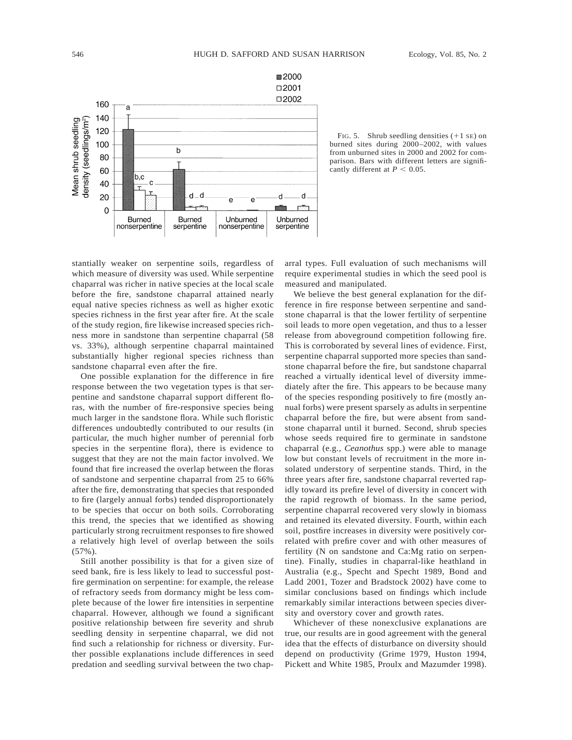

FIG. 5. Shrub seedling densities  $(+1 \text{ SE})$  on burned sites during 2000–2002, with values from unburned sites in 2000 and 2002 for comparison. Bars with different letters are significantly different at  $P < 0.05$ .

stantially weaker on serpentine soils, regardless of which measure of diversity was used. While serpentine chaparral was richer in native species at the local scale before the fire, sandstone chaparral attained nearly equal native species richness as well as higher exotic species richness in the first year after fire. At the scale of the study region, fire likewise increased species richness more in sandstone than serpentine chaparral (58 vs. 33%), although serpentine chaparral maintained substantially higher regional species richness than sandstone chaparral even after the fire.

One possible explanation for the difference in fire response between the two vegetation types is that serpentine and sandstone chaparral support different floras, with the number of fire-responsive species being much larger in the sandstone flora. While such floristic differences undoubtedly contributed to our results (in particular, the much higher number of perennial forb species in the serpentine flora), there is evidence to suggest that they are not the main factor involved. We found that fire increased the overlap between the floras of sandstone and serpentine chaparral from 25 to 66% after the fire, demonstrating that species that responded to fire (largely annual forbs) tended disproportionately to be species that occur on both soils. Corroborating this trend, the species that we identified as showing particularly strong recruitment responses to fire showed a relatively high level of overlap between the soils (57%).

Still another possibility is that for a given size of seed bank, fire is less likely to lead to successful postfire germination on serpentine: for example, the release of refractory seeds from dormancy might be less complete because of the lower fire intensities in serpentine chaparral. However, although we found a significant positive relationship between fire severity and shrub seedling density in serpentine chaparral, we did not find such a relationship for richness or diversity. Further possible explanations include differences in seed predation and seedling survival between the two chaparral types. Full evaluation of such mechanisms will require experimental studies in which the seed pool is measured and manipulated.

We believe the best general explanation for the difference in fire response between serpentine and sandstone chaparral is that the lower fertility of serpentine soil leads to more open vegetation, and thus to a lesser release from aboveground competition following fire. This is corroborated by several lines of evidence. First, serpentine chaparral supported more species than sandstone chaparral before the fire, but sandstone chaparral reached a virtually identical level of diversity immediately after the fire. This appears to be because many of the species responding positively to fire (mostly annual forbs) were present sparsely as adults in serpentine chaparral before the fire, but were absent from sandstone chaparral until it burned. Second, shrub species whose seeds required fire to germinate in sandstone chaparral (e.g., *Ceanothus* spp.) were able to manage low but constant levels of recruitment in the more insolated understory of serpentine stands. Third, in the three years after fire, sandstone chaparral reverted rapidly toward its prefire level of diversity in concert with the rapid regrowth of biomass. In the same period, serpentine chaparral recovered very slowly in biomass and retained its elevated diversity. Fourth, within each soil, postfire increases in diversity were positively correlated with prefire cover and with other measures of fertility (N on sandstone and Ca:Mg ratio on serpentine). Finally, studies in chaparral-like heathland in Australia (e.g., Specht and Specht 1989, Bond and Ladd 2001, Tozer and Bradstock 2002) have come to similar conclusions based on findings which include remarkably similar interactions between species diversity and overstory cover and growth rates.

Whichever of these nonexclusive explanations are true, our results are in good agreement with the general idea that the effects of disturbance on diversity should depend on productivity (Grime 1979, Huston 1994, Pickett and White 1985, Proulx and Mazumder 1998).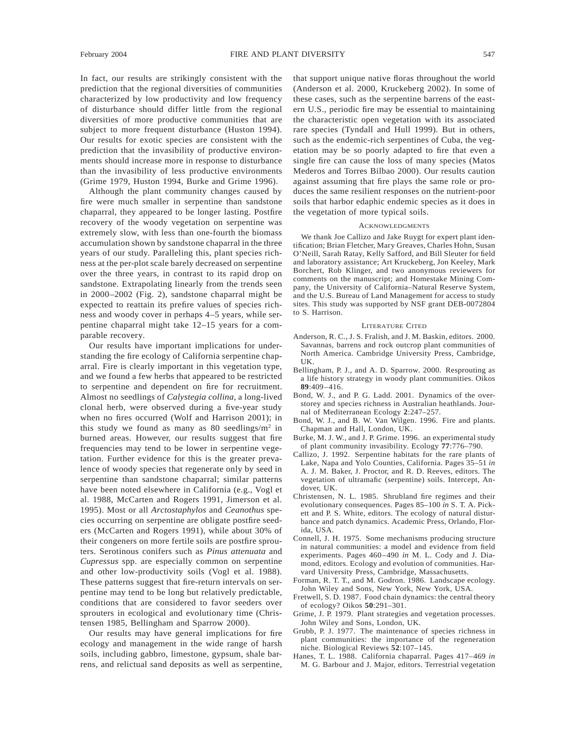In fact, our results are strikingly consistent with the prediction that the regional diversities of communities characterized by low productivity and low frequency of disturbance should differ little from the regional diversities of more productive communities that are subject to more frequent disturbance (Huston 1994). Our results for exotic species are consistent with the prediction that the invasibility of productive environments should increase more in response to disturbance than the invasibility of less productive environments (Grime 1979, Huston 1994, Burke and Grime 1996).

Although the plant community changes caused by fire were much smaller in serpentine than sandstone chaparral, they appeared to be longer lasting. Postfire recovery of the woody vegetation on serpentine was extremely slow, with less than one-fourth the biomass accumulation shown by sandstone chaparral in the three years of our study. Paralleling this, plant species richness at the per-plot scale barely decreased on serpentine over the three years, in contrast to its rapid drop on sandstone. Extrapolating linearly from the trends seen in 2000–2002 (Fig. 2), sandstone chaparral might be expected to reattain its prefire values of species richness and woody cover in perhaps 4–5 years, while serpentine chaparral might take 12–15 years for a comparable recovery.

Our results have important implications for understanding the fire ecology of California serpentine chaparral. Fire is clearly important in this vegetation type, and we found a few herbs that appeared to be restricted to serpentine and dependent on fire for recruitment. Almost no seedlings of *Calystegia collina*, a long-lived clonal herb, were observed during a five-year study when no fires occurred (Wolf and Harrison 2001); in this study we found as many as 80 seedlings/ $m<sup>2</sup>$  in burned areas. However, our results suggest that fire frequencies may tend to be lower in serpentine vegetation. Further evidence for this is the greater prevalence of woody species that regenerate only by seed in serpentine than sandstone chaparral; similar patterns have been noted elsewhere in California (e.g., Vogl et al. 1988, McCarten and Rogers 1991, Jimerson et al. 1995). Most or all *Arctostaphylos* and *Ceanothus* species occurring on serpentine are obligate postfire seeders (McCarten and Rogers 1991), while about 30% of their congeners on more fertile soils are postfire sprouters. Serotinous conifers such as *Pinus attenuata* and *Cupressus* spp. are especially common on serpentine and other low-productivity soils (Vogl et al. 1988). These patterns suggest that fire-return intervals on serpentine may tend to be long but relatively predictable, conditions that are considered to favor seeders over sprouters in ecological and evolutionary time (Christensen 1985, Bellingham and Sparrow 2000).

Our results may have general implications for fire ecology and management in the wide range of harsh soils, including gabbro, limestone, gypsum, shale barrens, and relictual sand deposits as well as serpentine, that support unique native floras throughout the world (Anderson et al. 2000, Kruckeberg 2002). In some of these cases, such as the serpentine barrens of the eastern U.S., periodic fire may be essential to maintaining the characteristic open vegetation with its associated rare species (Tyndall and Hull 1999). But in others, such as the endemic-rich serpentines of Cuba, the vegetation may be so poorly adapted to fire that even a single fire can cause the loss of many species (Matos Mederos and Torres Bilbao 2000). Our results caution against assuming that fire plays the same role or produces the same resilient responses on the nutrient-poor soils that harbor edaphic endemic species as it does in the vegetation of more typical soils.

#### ACKNOWLEDGMENTS

We thank Joe Callizo and Jake Ruygt for expert plant identification; Brian Fletcher, Mary Greaves, Charles Hohn, Susan O'Neill, Sarah Ratay, Kelly Safford, and Bill Sleuter for field and laboratory assistance; Art Kruckeberg, Jon Keeley, Mark Borchert, Rob Klinger, and two anonymous reviewers for comments on the manuscript; and Homestake Mining Company, the University of California–Natural Reserve System, and the U.S. Bureau of Land Management for access to study sites. This study was supported by NSF grant DEB-0072804 to S. Harrison.

#### LITERATURE CITED

- Anderson, R. C., J. S. Fralish, and J. M. Baskin, editors. 2000. Savannas, barrens and rock outcrop plant communities of North America. Cambridge University Press, Cambridge, UK.
- Bellingham, P. J., and A. D. Sparrow. 2000. Resprouting as a life history strategy in woody plant communities. Oikos **89**:409–416.
- Bond, W. J., and P. G. Ladd. 2001. Dynamics of the overstorey and species richness in Australian heathlands. Journal of Mediterranean Ecology **2**:247–257.
- Bond, W. J., and B. W. Van Wilgen. 1996. Fire and plants. Chapman and Hall, London, UK.
- Burke, M. J. W., and J. P. Grime. 1996. an experimental study of plant community invasibility. Ecology **77**:776–790.
- Callizo, J. 1992. Serpentine habitats for the rare plants of Lake, Napa and Yolo Counties, California. Pages 35–51 *in* A. J. M. Baker, J. Proctor, and R. D. Reeves, editors. The vegetation of ultramafic (serpentine) soils. Intercept, Andover, UK.
- Christensen, N. L. 1985. Shrubland fire regimes and their evolutionary consequences. Pages 85–100 *in* S. T. A. Pickett and P. S. White, editors. The ecology of natural disturbance and patch dynamics. Academic Press, Orlando, Florida, USA.
- Connell, J. H. 1975. Some mechanisms producing structure in natural communities: a model and evidence from field experiments. Pages 460–490 *in* M. L. Cody and J. Diamond, editors. Ecology and evolution of communities. Harvard University Press, Cambridge, Massachusetts.
- Forman, R. T. T., and M. Godron. 1986. Landscape ecology. John Wiley and Sons, New York, New York, USA.
- Fretwell, S. D. 1987. Food chain dynamics: the central theory of ecology? Oikos **50**:291–301.
- Grime, J. P. 1979. Plant strategies and vegetation processes. John Wiley and Sons, London, UK.
- Grubb, P. J. 1977. The maintenance of species richness in plant communities: the importance of the regeneration niche. Biological Reviews **52**:107–145.
- Hanes, T. L. 1988. California chaparral. Pages 417–469 *in* M. G. Barbour and J. Major, editors. Terrestrial vegetation